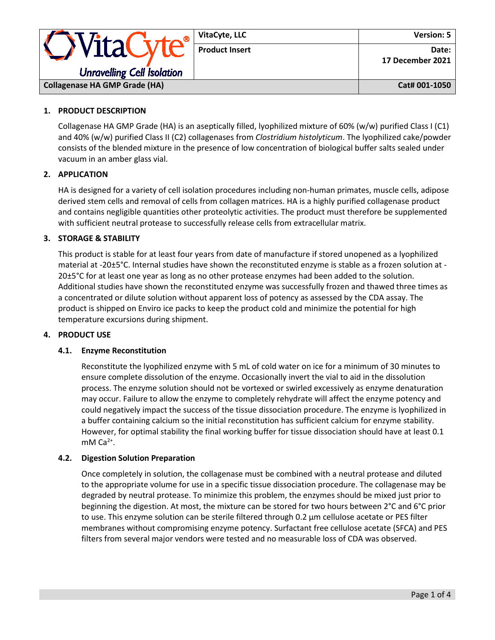| · WitaCyte<br><b>Unravelling Cell Isolation</b> | VitaCyte, LLC         | <b>Version: 5</b>         |
|-------------------------------------------------|-----------------------|---------------------------|
|                                                 | <b>Product Insert</b> | Date:<br>17 December 2021 |
| <b>Collagenase HA GMP Grade (HA)</b>            |                       | Cat# 001-1050             |

# **1. PRODUCT DESCRIPTION**

Collagenase HA GMP Grade (HA) is an aseptically filled, lyophilized mixture of 60% (w/w) purified Class I (C1) and 40% (w/w) purified Class II (C2) collagenases from *Clostridium histolyticum*. The lyophilized cake/powder consists of the blended mixture in the presence of low concentration of biological buffer salts sealed under vacuum in an amber glass vial.

# **2. APPLICATION**

HA is designed for a variety of cell isolation procedures including non-human primates, muscle cells, adipose derived stem cells and removal of cells from collagen matrices. HA is a highly purified collagenase product and contains negligible quantities other proteolytic activities. The product must therefore be supplemented with sufficient neutral protease to successfully release cells from extracellular matrix.

### **3. STORAGE & STABILITY**

This product is stable for at least four years from date of manufacture if stored unopened as a lyophilized material at -20±5°C. Internal studies have shown the reconstituted enzyme is stable as a frozen solution at - 20±5°C for at least one year as long as no other protease enzymes had been added to the solution. Additional studies have shown the reconstituted enzyme was successfully frozen and thawed three times as a concentrated or dilute solution without apparent loss of potency as assessed by the CDA assay. The product is shipped on Enviro ice packs to keep the product cold and minimize the potential for high temperature excursions during shipment.

#### **4. PRODUCT USE**

### **4.1. Enzyme Reconstitution**

Reconstitute the lyophilized enzyme with 5 mL of cold water on ice for a minimum of 30 minutes to ensure complete dissolution of the enzyme. Occasionally invert the vial to aid in the dissolution process. The enzyme solution should not be vortexed or swirled excessively as enzyme denaturation may occur. Failure to allow the enzyme to completely rehydrate will affect the enzyme potency and could negatively impact the success of the tissue dissociation procedure. The enzyme is lyophilized in a buffer containing calcium so the initial reconstitution has sufficient calcium for enzyme stability. However, for optimal stability the final working buffer for tissue dissociation should have at least 0.1 mM  $Ca<sup>2+</sup>$ .

#### **4.2. Digestion Solution Preparation**

Once completely in solution, the collagenase must be combined with a neutral protease and diluted to the appropriate volume for use in a specific tissue dissociation procedure. The collagenase may be degraded by neutral protease. To minimize this problem, the enzymes should be mixed just prior to beginning the digestion. At most, the mixture can be stored for two hours between 2°C and 6°C prior to use. This enzyme solution can be sterile filtered through 0.2 μm cellulose acetate or PES filter membranes without compromising enzyme potency. Surfactant free cellulose acetate (SFCA) and PES filters from several major vendors were tested and no measurable loss of CDA was observed.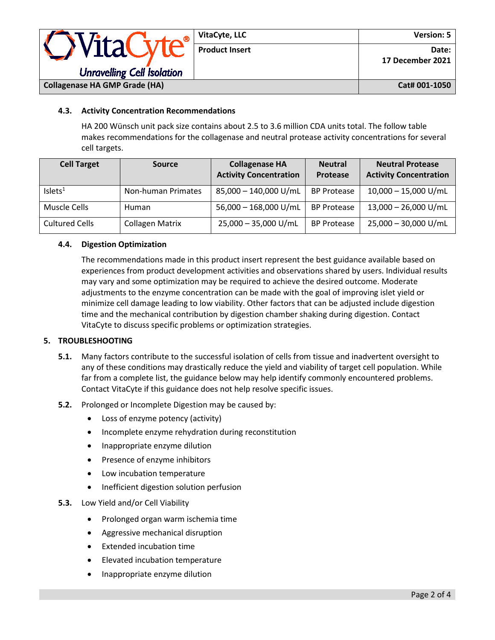| VitaC<br><b>Unravelling Cell Isolation</b> | VitaCyte, LLC         | Version: 5                |
|--------------------------------------------|-----------------------|---------------------------|
|                                            | <b>Product Insert</b> | Date:<br>17 December 2021 |
| <b>Collagenase HA GMP Grade (HA)</b>       |                       | Cat# 001-1050             |

# **4.3. Activity Concentration Recommendations**

HA 200 Wünsch unit pack size contains about 2.5 to 3.6 million CDA units total. The follow table makes recommendations for the collagenase and neutral protease activity concentrations for several cell targets.

| <b>Cell Target</b>    | <b>Source</b>          | <b>Collagenase HA</b><br><b>Activity Concentration</b> | <b>Neutral</b><br><b>Protease</b> | <b>Neutral Protease</b><br><b>Activity Concentration</b> |
|-----------------------|------------------------|--------------------------------------------------------|-----------------------------------|----------------------------------------------------------|
| Islets <sup>1</sup>   | Non-human Primates     | 85,000 - 140,000 U/mL                                  | <b>BP Protease</b>                | $10,000 - 15,000$ U/mL                                   |
| Muscle Cells          | Human                  | 56,000 - 168,000 U/mL                                  | <b>BP Protease</b>                | 13,000 - 26,000 U/mL                                     |
| <b>Cultured Cells</b> | <b>Collagen Matrix</b> | 25,000 - 35,000 U/mL                                   | <b>BP Protease</b>                | 25,000 - 30,000 U/mL                                     |

# **4.4. Digestion Optimization**

The recommendations made in this product insert represent the best guidance available based on experiences from product development activities and observations shared by users. Individual results may vary and some optimization may be required to achieve the desired outcome. Moderate adjustments to the enzyme concentration can be made with the goal of improving islet yield or minimize cell damage leading to low viability. Other factors that can be adjusted include digestion time and the mechanical contribution by digestion chamber shaking during digestion. Contact VitaCyte to discuss specific problems or optimization strategies.

# **5. TROUBLESHOOTING**

- **5.1.** Many factors contribute to the successful isolation of cells from tissue and inadvertent oversight to any of these conditions may drastically reduce the yield and viability of target cell population. While far from a complete list, the guidance below may help identify commonly encountered problems. Contact VitaCyte if this guidance does not help resolve specific issues.
- **5.2.** Prolonged or Incomplete Digestion may be caused by:
	- Loss of enzyme potency (activity)
	- Incomplete enzyme rehydration during reconstitution
	- Inappropriate enzyme dilution
	- Presence of enzyme inhibitors
	- Low incubation temperature
	- Inefficient digestion solution perfusion

#### **5.3.** Low Yield and/or Cell Viability

- Prolonged organ warm ischemia time
- Aggressive mechanical disruption
- Extended incubation time
- Elevated incubation temperature
- Inappropriate enzyme dilution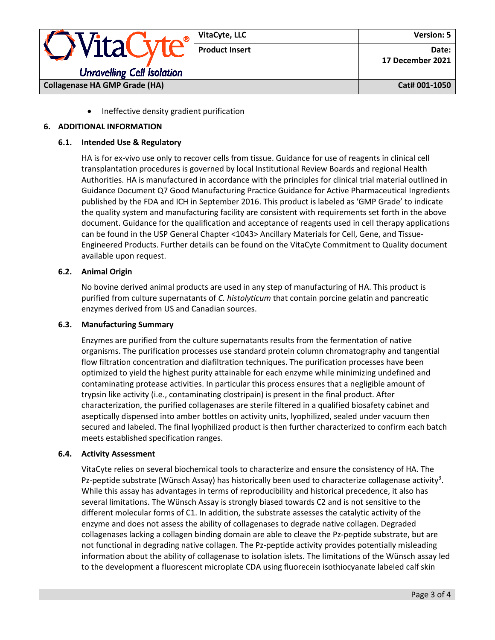

• Ineffective density gradient purification

# **6. ADDITIONAL INFORMATION**

#### **6.1. Intended Use & Regulatory**

HA is for ex-vivo use only to recover cells from tissue. Guidance for use of reagents in clinical cell transplantation procedures is governed by local Institutional Review Boards and regional Health Authorities. HA is manufactured in accordance with the principles for clinical trial material outlined in Guidance Document Q7 Good Manufacturing Practice Guidance for Active Pharmaceutical Ingredients published by the FDA and ICH in September 2016. This product is labeled as 'GMP Grade' to indicate the quality system and manufacturing facility are consistent with requirements set forth in the above document. Guidance for the qualification and acceptance of reagents used in cell therapy applications can be found in the USP General Chapter <1043> Ancillary Materials for Cell, Gene, and Tissue-Engineered Products. Further details can be found on the VitaCyte Commitment to Quality document available upon request.

### **6.2. Animal Origin**

No bovine derived animal products are used in any step of manufacturing of HA. This product is purified from culture supernatants of *C. histolyticum* that contain porcine gelatin and pancreatic enzymes derived from US and Canadian sources.

#### **6.3. Manufacturing Summary**

Enzymes are purified from the culture supernatants results from the fermentation of native organisms. The purification processes use standard protein column chromatography and tangential flow filtration concentration and diafiltration techniques. The purification processes have been optimized to yield the highest purity attainable for each enzyme while minimizing undefined and contaminating protease activities. In particular this process ensures that a negligible amount of trypsin like activity (i.e., contaminating clostripain) is present in the final product. After characterization, the purified collagenases are sterile filtered in a qualified biosafety cabinet and aseptically dispensed into amber bottles on activity units, lyophilized, sealed under vacuum then secured and labeled. The final lyophilized product is then further characterized to confirm each batch meets established specification ranges.

#### **6.4. Activity Assessment**

VitaCyte relies on several biochemical tools to characterize and ensure the consistency of HA. The Pz-peptide substrate (Wünsch Assay) has historically been used to characterize collagenase activity<sup>3</sup>. While this assay has advantages in terms of reproducibility and historical precedence, it also has several limitations. The Wünsch Assay is strongly biased towards C2 and is not sensitive to the different molecular forms of C1. In addition, the substrate assesses the catalytic activity of the enzyme and does not assess the ability of collagenases to degrade native collagen. Degraded collagenases lacking a collagen binding domain are able to cleave the Pz-peptide substrate, but are not functional in degrading native collagen. The Pz-peptide activity provides potentially misleading information about the ability of collagenase to isolation islets. The limitations of the Wünsch assay led to the development a fluorescent microplate CDA using fluorecein isothiocyanate labeled calf skin